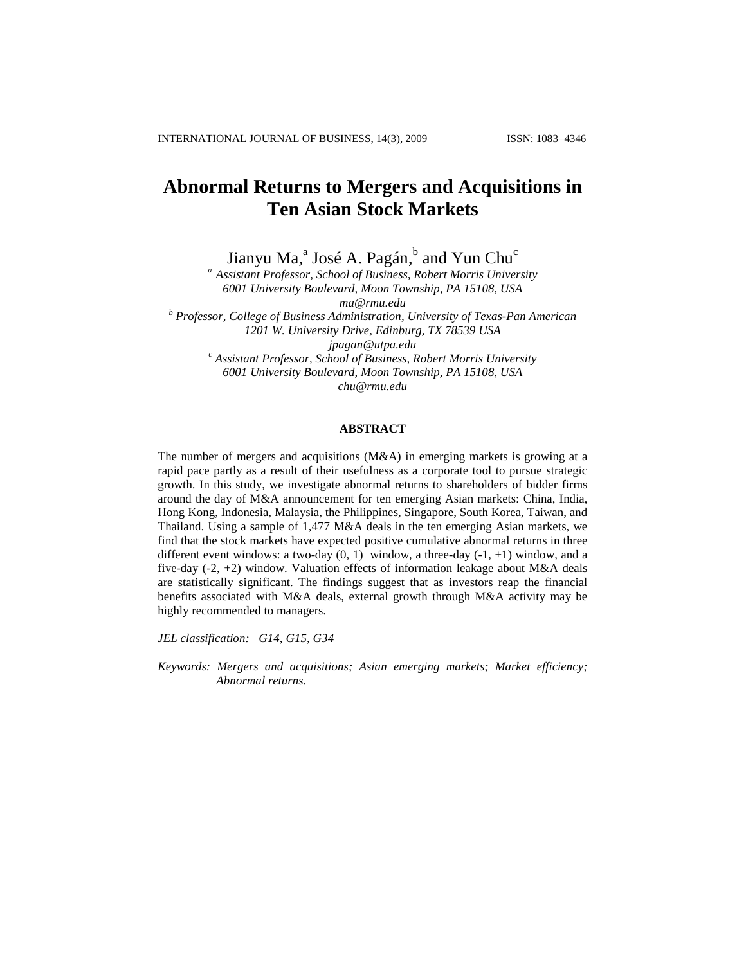# **Abnormal Returns to Mergers and Acquisitions in Ten Asian Stock Markets**

Jianyu Ma,<sup>a</sup> José A. Pagán,<sup>b</sup> and Yun Chu<sup>c</sup>

*<sup>a</sup> Assistant Professor, School of Business, Robert Morris University 6001 University Boulevard, Moon Township, PA 15108, USA [ma@rmu.edu](mailto:ma@rmu.edu) <sup>b</sup> Professor, College of Business Administration, University of Texas-Pan American 1201 W. University Drive, Edinburg, TX 78539 USA jpagan@utpa.edu <sup>c</sup> Assistant Professor, School of Business, Robert Morris University 6001 University Boulevard, Moon Township, PA 15108, USA chu@rmu.edu*

# **ABSTRACT**

The number of mergers and acquisitions  $(M&A)$  in emerging markets is growing at a rapid pace partly as a result of their usefulness as a corporate tool to pursue strategic growth. In this study, we investigate abnormal returns to shareholders of bidder firms around the day of M&A announcement for ten emerging Asian markets: China, India, Hong Kong, Indonesia, Malaysia, the Philippines, Singapore, South Korea, Taiwan, and Thailand. Using a sample of 1,477 M&A deals in the ten emerging Asian markets, we find that the stock markets have expected positive cumulative abnormal returns in three different event windows: a two-day  $(0, 1)$  window, a three-day  $(-1, +1)$  window, and a five-day  $(-2, +2)$  window. Valuation effects of information leakage about M&A deals are statistically significant. The findings suggest that as investors reap the financial benefits associated with M&A deals, external growth through M&A activity may be highly recommended to managers.

*JEL classification: G14, G15, G34*

*Keywords: Mergers and acquisitions; Asian emerging markets; Market efficiency; Abnormal returns.*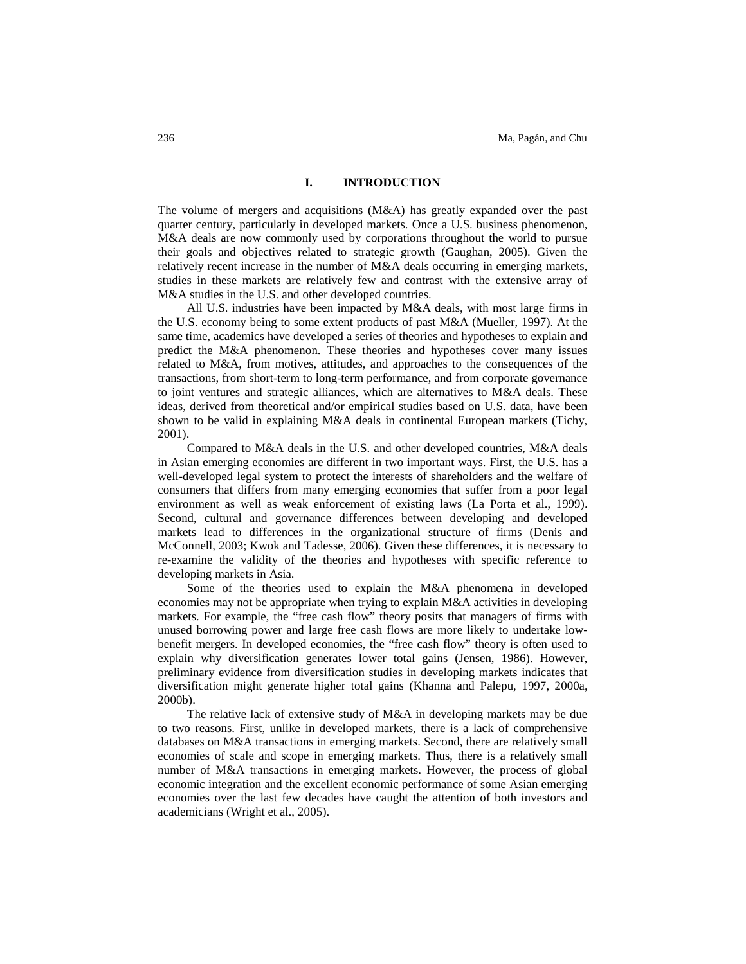# **I. INTRODUCTION**

The volume of mergers and acquisitions (M&A) has greatly expanded over the past quarter century, particularly in developed markets. Once a U.S. business phenomenon, M&A deals are now commonly used by corporations throughout the world to pursue their goals and objectives related to strategic growth (Gaughan, 2005). Given the relatively recent increase in the number of M&A deals occurring in emerging markets, studies in these markets are relatively few and contrast with the extensive array of M&A studies in the U.S. and other developed countries.

All U.S. industries have been impacted by M&A deals, with most large firms in the U.S. economy being to some extent products of past M&A (Mueller, 1997). At the same time, academics have developed a series of theories and hypotheses to explain and predict the M&A phenomenon. These theories and hypotheses cover many issues related to M&A, from motives, attitudes, and approaches to the consequences of the transactions, from short-term to long-term performance, and from corporate governance to joint ventures and strategic alliances, which are alternatives to M&A deals. These ideas, derived from theoretical and/or empirical studies based on U.S. data, have been shown to be valid in explaining M&A deals in continental European markets (Tichy, 2001).

Compared to M&A deals in the U.S. and other developed countries, M&A deals in Asian emerging economies are different in two important ways. First, the U.S. has a well-developed legal system to protect the interests of shareholders and the welfare of consumers that differs from many emerging economies that suffer from a poor legal environment as well as weak enforcement of existing laws (La Porta et al., 1999). Second, cultural and governance differences between developing and developed markets lead to differences in the organizational structure of firms (Denis and McConnell, 2003; Kwok and Tadesse, 2006). Given these differences, it is necessary to re-examine the validity of the theories and hypotheses with specific reference to developing markets in Asia.

Some of the theories used to explain the M&A phenomena in developed economies may not be appropriate when trying to explain M&A activities in developing markets. For example, the "free cash flow" theory posits that managers of firms with unused borrowing power and large free cash flows are more likely to undertake lowbenefit mergers. In developed economies, the "free cash flow" theory is often used to explain why diversification generates lower total gains (Jensen, 1986). However, preliminary evidence from diversification studies in developing markets indicates that diversification might generate higher total gains (Khanna and Palepu, 1997, 2000a, 2000b).

The relative lack of extensive study of M&A in developing markets may be due to two reasons. First, unlike in developed markets, there is a lack of comprehensive databases on M&A transactions in emerging markets. Second, there are relatively small economies of scale and scope in emerging markets. Thus, there is a relatively small number of M&A transactions in emerging markets. However, the process of global economic integration and the excellent economic performance of some Asian emerging economies over the last few decades have caught the attention of both investors and academicians (Wright et al., 2005).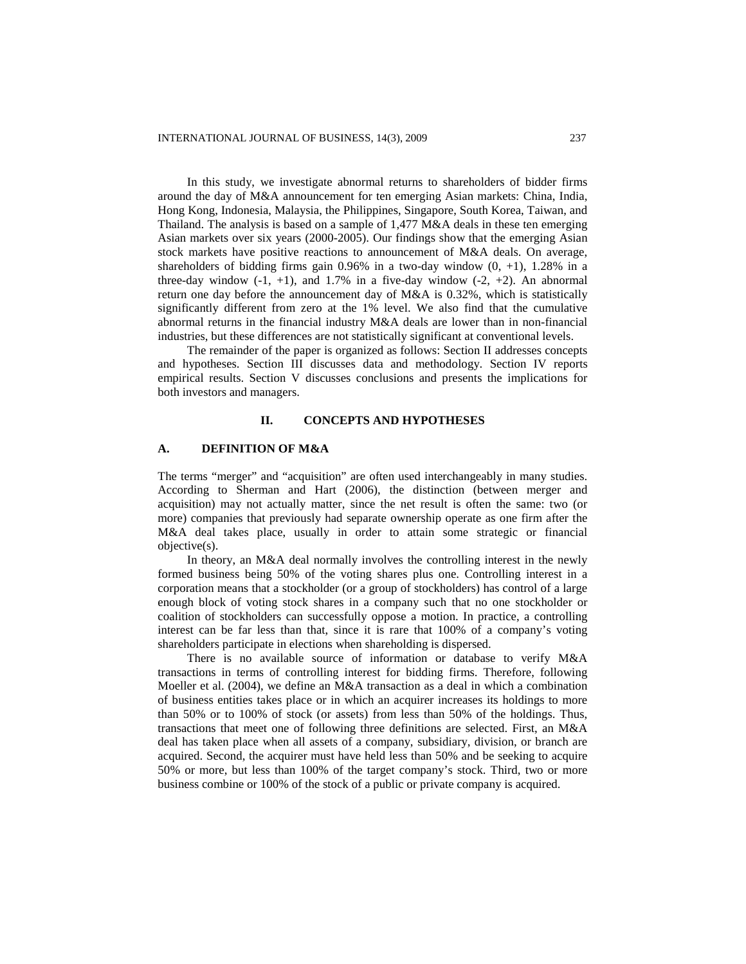In this study, we investigate abnormal returns to shareholders of bidder firms around the day of M&A announcement for ten emerging Asian markets: China, India, Hong Kong, Indonesia, Malaysia, the Philippines, Singapore, South Korea, Taiwan, and Thailand. The analysis is based on a sample of 1,477 M&A deals in these ten emerging Asian markets over six years (2000-2005). Our findings show that the emerging Asian stock markets have positive reactions to announcement of M&A deals. On average, shareholders of bidding firms gain  $0.96\%$  in a two-day window  $(0, +1)$ , 1.28% in a three-day window  $(-1, +1)$ , and 1.7% in a five-day window  $(-2, +2)$ . An abnormal return one day before the announcement day of M&A is 0.32%, which is statistically significantly different from zero at the 1% level. We also find that the cumulative abnormal returns in the financial industry M&A deals are lower than in non-financial industries, but these differences are not statistically significant at conventional levels.

The remainder of the paper is organized as follows: Section II addresses concepts and hypotheses. Section III discusses data and methodology. Section IV reports empirical results. Section V discusses conclusions and presents the implications for both investors and managers.

# **II. CONCEPTS AND HYPOTHESES**

# **A. DEFINITION OF M&A**

The terms "merger" and "acquisition" are often used interchangeably in many studies. According to Sherman and Hart (2006), the distinction (between merger and acquisition) may not actually matter, since the net result is often the same: two (or more) companies that previously had separate ownership operate as one firm after the M&A deal takes place, usually in order to attain some strategic or financial objective(s).

In theory, an M&A deal normally involves the controlling interest in the newly formed business being 50% of the voting shares plus one. Controlling interest in a corporation means that a stockholder (or a group of stockholders) has control of a large enough block of voting stock shares in a company such that no one stockholder or coalition of stockholders can successfully oppose a motion. In practice, a controlling interest can be far less than that, since it is rare that 100% of a company's voting shareholders participate in elections when shareholding is dispersed.

There is no available source of information or database to verify M&A transactions in terms of controlling interest for bidding firms. Therefore, following Moeller et al. (2004), we define an M&A transaction as a deal in which a combination of business entities takes place or in which an acquirer increases its holdings to more than 50% or to 100% of stock (or assets) from less than 50% of the holdings. Thus, transactions that meet one of following three definitions are selected. First, an M&A deal has taken place when all assets of a company, subsidiary, division, or branch are acquired. Second, the acquirer must have held less than 50% and be seeking to acquire 50% or more, but less than 100% of the target company's stock. Third, two or more business combine or 100% of the stock of a public or private company is acquired.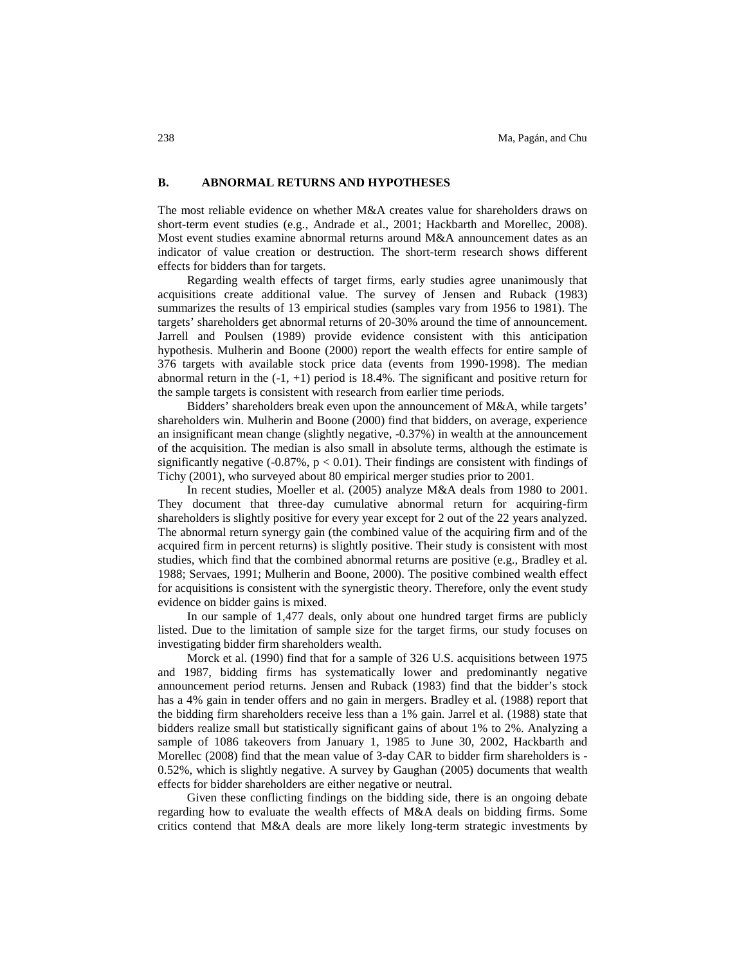# **B. ABNORMAL RETURNS AND HYPOTHESES**

The most reliable evidence on whether M&A creates value for shareholders draws on short-term event studies (e.g., Andrade et al., 2001; Hackbarth and Morellec, 2008). Most event studies examine abnormal returns around M&A announcement dates as an indicator of value creation or destruction. The short-term research shows different effects for bidders than for targets.

Regarding wealth effects of target firms, early studies agree unanimously that acquisitions create additional value. The survey of Jensen and Ruback (1983) summarizes the results of 13 empirical studies (samples vary from 1956 to 1981). The targets' shareholders get abnormal returns of 20-30% around the time of announcement. Jarrell and Poulsen (1989) provide evidence consistent with this anticipation hypothesis. Mulherin and Boone (2000) report the wealth effects for entire sample of 376 targets with available stock price data (events from 1990-1998). The median abnormal return in the  $(-1, +1)$  period is 18.4%. The significant and positive return for the sample targets is consistent with research from earlier time periods.

Bidders' shareholders break even upon the announcement of M&A, while targets' shareholders win. Mulherin and Boone (2000) find that bidders, on average, experience an insignificant mean change (slightly negative, -0.37%) in wealth at the announcement of the acquisition. The median is also small in absolute terms, although the estimate is significantly negative (-0.87%,  $p < 0.01$ ). Their findings are consistent with findings of Tichy (2001), who surveyed about 80 empirical merger studies prior to 2001.

In recent studies, Moeller et al. (2005) analyze M&A deals from 1980 to 2001. They document that three-day cumulative abnormal return for acquiring-firm shareholders is slightly positive for every year except for 2 out of the 22 years analyzed. The abnormal return synergy gain (the combined value of the acquiring firm and of the acquired firm in percent returns) is slightly positive. Their study is consistent with most studies, which find that the combined abnormal returns are positive (e.g., Bradley et al. 1988; Servaes, 1991; Mulherin and Boone, 2000). The positive combined wealth effect for acquisitions is consistent with the synergistic theory. Therefore, only the event study evidence on bidder gains is mixed.

In our sample of 1,477 deals, only about one hundred target firms are publicly listed. Due to the limitation of sample size for the target firms, our study focuses on investigating bidder firm shareholders wealth.

Morck et al. (1990) find that for a sample of 326 U.S. acquisitions between 1975 and 1987, bidding firms has systematically lower and predominantly negative announcement period returns. Jensen and Ruback (1983) find that the bidder's stock has a 4% gain in tender offers and no gain in mergers. Bradley et al. (1988) report that the bidding firm shareholders receive less than a 1% gain. Jarrel et al. (1988) state that bidders realize small but statistically significant gains of about 1% to 2%. Analyzing a sample of 1086 takeovers from January 1, 1985 to June 30, 2002, Hackbarth and Morellec (2008) find that the mean value of 3-day CAR to bidder firm shareholders is - 0.52%, which is slightly negative. A survey by Gaughan (2005) documents that wealth effects for bidder shareholders are either negative or neutral.

Given these conflicting findings on the bidding side, there is an ongoing debate regarding how to evaluate the wealth effects of M&A deals on bidding firms. Some critics contend that M&A deals are more likely long-term strategic investments by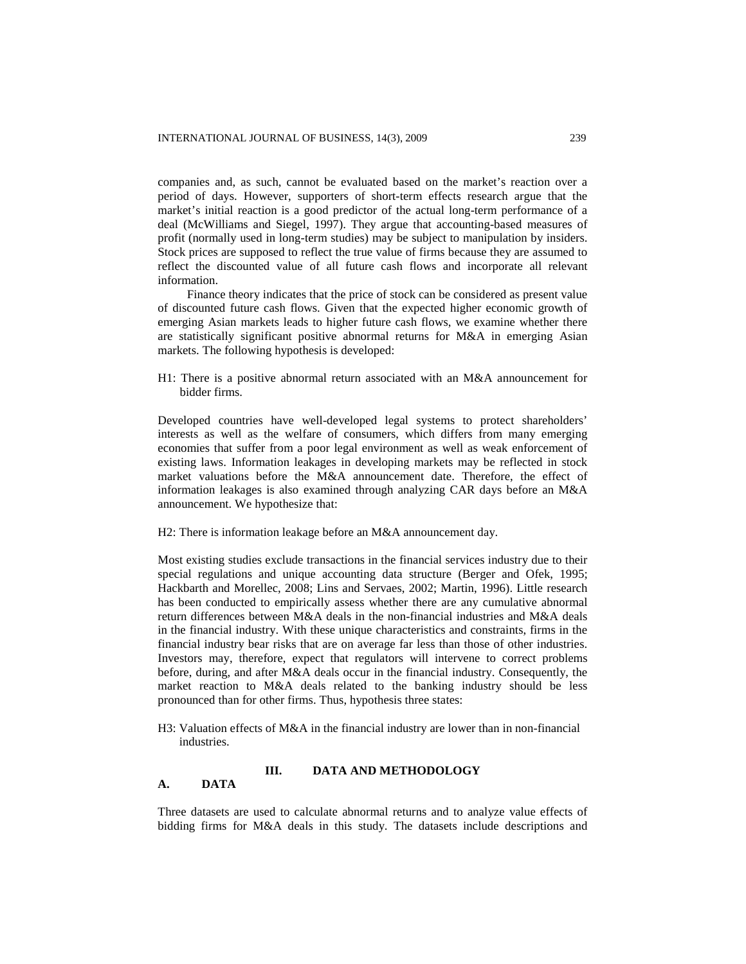companies and, as such, cannot be evaluated based on the market's reaction over a period of days. However, supporters of short-term effects research argue that the market's initial reaction is a good predictor of the actual long-term performance of a deal (McWilliams and Siegel, 1997). They argue that accounting-based measures of profit (normally used in long-term studies) may be subject to manipulation by insiders. Stock prices are supposed to reflect the true value of firms because they are assumed to reflect the discounted value of all future cash flows and incorporate all relevant information.

Finance theory indicates that the price of stock can be considered as present value of discounted future cash flows. Given that the expected higher economic growth of emerging Asian markets leads to higher future cash flows, we examine whether there are statistically significant positive abnormal returns for M&A in emerging Asian markets. The following hypothesis is developed:

H1: There is a positive abnormal return associated with an M&A announcement for bidder firms.

Developed countries have well-developed legal systems to protect shareholders' interests as well as the welfare of consumers, which differs from many emerging economies that suffer from a poor legal environment as well as weak enforcement of existing laws. Information leakages in developing markets may be reflected in stock market valuations before the M&A announcement date. Therefore, the effect of information leakages is also examined through analyzing CAR days before an M&A announcement. We hypothesize that:

H2: There is information leakage before an M&A announcement day.

Most existing studies exclude transactions in the financial services industry due to their special regulations and unique accounting data structure (Berger and Ofek, 1995; Hackbarth and Morellec, 2008; Lins and Servaes, 2002; Martin, 1996). Little research has been conducted to empirically assess whether there are any cumulative abnormal return differences between M&A deals in the non-financial industries and M&A deals in the financial industry. With these unique characteristics and constraints, firms in the financial industry bear risks that are on average far less than those of other industries. Investors may, therefore, expect that regulators will intervene to correct problems before, during, and after M&A deals occur in the financial industry. Consequently, the market reaction to M&A deals related to the banking industry should be less pronounced than for other firms. Thus, hypothesis three states:

H3: Valuation effects of M&A in the financial industry are lower than in non-financial industries.

# **III. DATA AND METHODOLOGY**

### **A. DATA**

Three datasets are used to calculate abnormal returns and to analyze value effects of bidding firms for M&A deals in this study. The datasets include descriptions and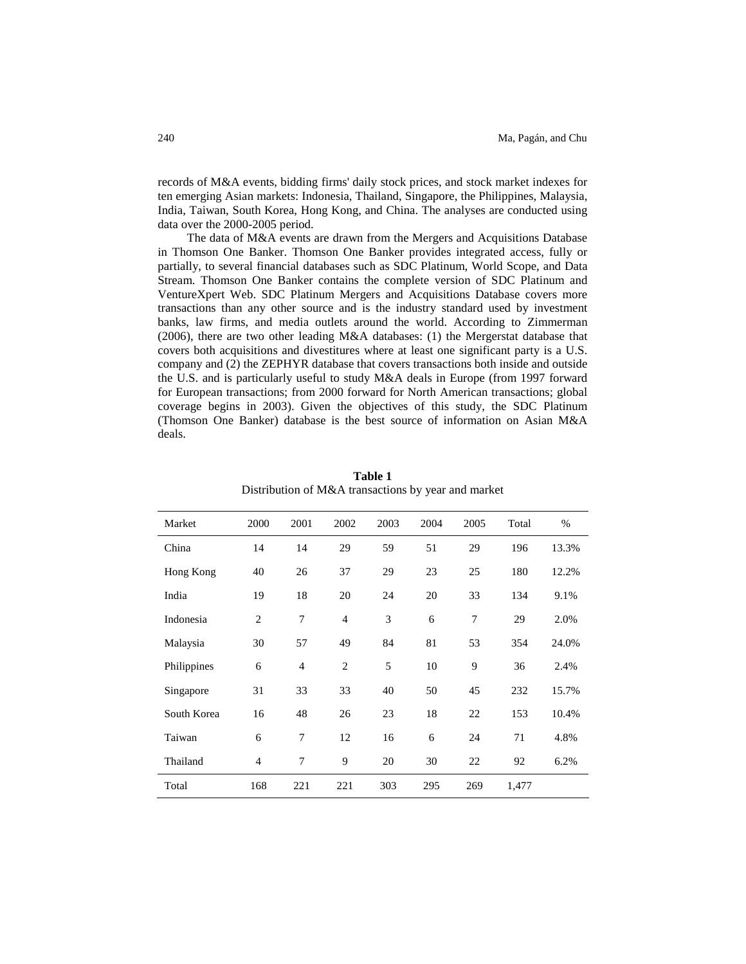records of M&A events, bidding firms' daily stock prices, and stock market indexes for ten emerging Asian markets: Indonesia, Thailand, Singapore, the Philippines, Malaysia, India, Taiwan, South Korea, Hong Kong, and China. The analyses are conducted using data over the 2000-2005 period.

The data of M&A events are drawn from the Mergers and Acquisitions Database in Thomson One Banker. Thomson One Banker provides integrated access, fully or partially, to several financial databases such as SDC Platinum, World Scope, and Data Stream. Thomson One Banker contains the complete version of SDC Platinum and VentureXpert Web. SDC Platinum Mergers and Acquisitions Database covers more transactions than any other source and is the industry standard used by investment banks, law firms, and media outlets around the world. According to Zimmerman (2006), there are two other leading M&A databases: (1) the Mergerstat database that covers both acquisitions and divestitures where at least one significant party is a U.S. company and (2) the ZEPHYR database that covers transactions both inside and outside the U.S. and is particularly useful to study M&A deals in Europe (from 1997 forward for European transactions; from 2000 forward for North American transactions; global coverage begins in 2003). Given the objectives of this study, the SDC Platinum (Thomson One Banker) database is the best source of information on Asian M&A deals.

| Market      | 2000           | 2001           | 2002           | 2003 | 2004 | 2005 | Total | $\%$  |
|-------------|----------------|----------------|----------------|------|------|------|-------|-------|
| China       | 14             | 14             | 29             | 59   | 51   | 29   | 196   | 13.3% |
| Hong Kong   | 40             | 26             | 37             | 29   | 23   | 25   | 180   | 12.2% |
| India       | 19             | 18             | 20             | 24   | 20   | 33   | 134   | 9.1%  |
| Indonesia   | $\overline{c}$ | 7              | $\overline{4}$ | 3    | 6    | 7    | 29    | 2.0%  |
| Malaysia    | 30             | 57             | 49             | 84   | 81   | 53   | 354   | 24.0% |
| Philippines | 6              | $\overline{4}$ | $\overline{2}$ | 5    | 10   | 9    | 36    | 2.4%  |
| Singapore   | 31             | 33             | 33             | 40   | 50   | 45   | 232   | 15.7% |
| South Korea | 16             | 48             | 26             | 23   | 18   | 22   | 153   | 10.4% |
| Taiwan      | 6              | 7              | 12             | 16   | 6    | 24   | 71    | 4.8%  |
| Thailand    | $\overline{4}$ | 7              | 9              | 20   | 30   | 22   | 92    | 6.2%  |
| Total       | 168            | 221            | 221            | 303  | 295  | 269  | 1,477 |       |

**Table 1** Distribution of M&A transactions by year and market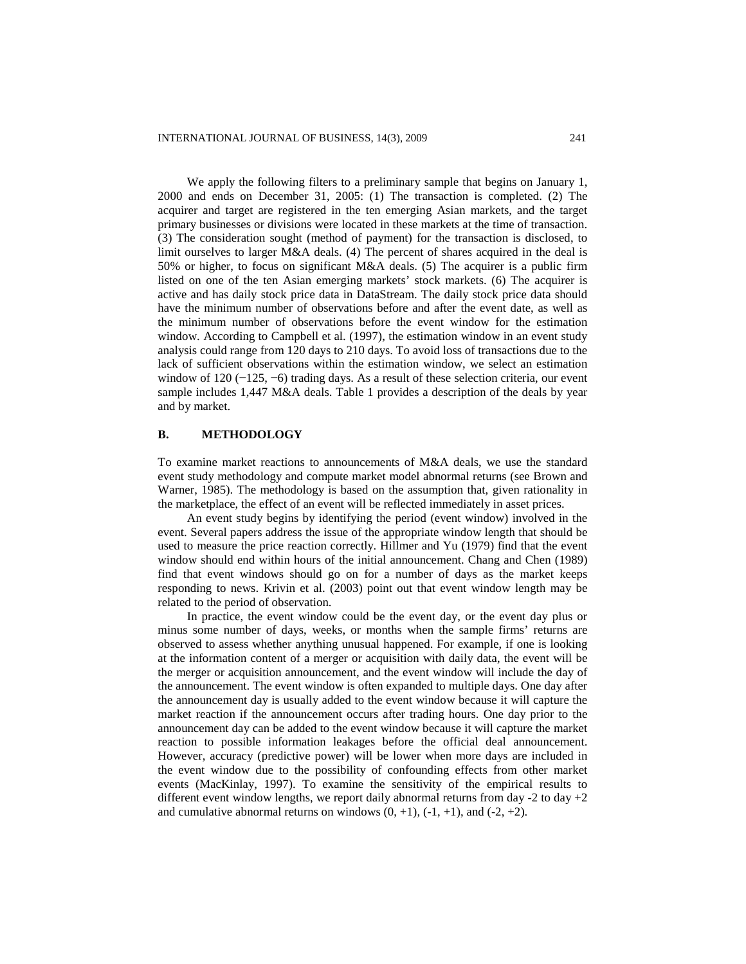We apply the following filters to a preliminary sample that begins on January 1, 2000 and ends on December 31, 2005: (1) The transaction is completed. (2) The acquirer and target are registered in the ten emerging Asian markets, and the target primary businesses or divisions were located in these markets at the time of transaction. (3) The consideration sought (method of payment) for the transaction is disclosed, to limit ourselves to larger M&A deals. (4) The percent of shares acquired in the deal is 50% or higher, to focus on significant M&A deals. (5) The acquirer is a public firm listed on one of the ten Asian emerging markets' stock markets. (6) The acquirer is active and has daily stock price data in DataStream. The daily stock price data should have the minimum number of observations before and after the event date, as well as the minimum number of observations before the event window for the estimation window. According to Campbell et al. (1997), the estimation window in an event study analysis could range from 120 days to 210 days. To avoid loss of transactions due to the lack of sufficient observations within the estimation window, we select an estimation window of 120 (−125, −6) trading days. As a result of these selection criteria, our event sample includes 1,447 M&A deals. Table 1 provides a description of the deals by year and by market.

# **B. METHODOLOGY**

To examine market reactions to announcements of M&A deals, we use the standard event study methodology and compute market model abnormal returns (see Brown and Warner, 1985). The methodology is based on the assumption that, given rationality in the marketplace, the effect of an event will be reflected immediately in asset prices.

An event study begins by identifying the period (event window) involved in the event. Several papers address the issue of the appropriate window length that should be used to measure the price reaction correctly. Hillmer and Yu (1979) find that the event window should end within hours of the initial announcement. Chang and Chen (1989) find that event windows should go on for a number of days as the market keeps responding to news. Krivin et al. (2003) point out that event window length may be related to the period of observation.

In practice, the event window could be the event day, or the event day plus or minus some number of days, weeks, or months when the sample firms' returns are observed to assess whether anything unusual happened. For example, if one is looking at the information content of a merger or acquisition with daily data, the event will be the merger or acquisition announcement, and the event window will include the day of the announcement. The event window is often expanded to multiple days. One day after the announcement day is usually added to the event window because it will capture the market reaction if the announcement occurs after trading hours. One day prior to the announcement day can be added to the event window because it will capture the market reaction to possible information leakages before the official deal announcement. However, accuracy (predictive power) will be lower when more days are included in the event window due to the possibility of confounding effects from other market events (MacKinlay, 1997). To examine the sensitivity of the empirical results to different event window lengths, we report daily abnormal returns from day  $-2$  to day  $+2$ and cumulative abnormal returns on windows  $(0, +1)$ ,  $(-1, +1)$ , and  $(-2, +2)$ .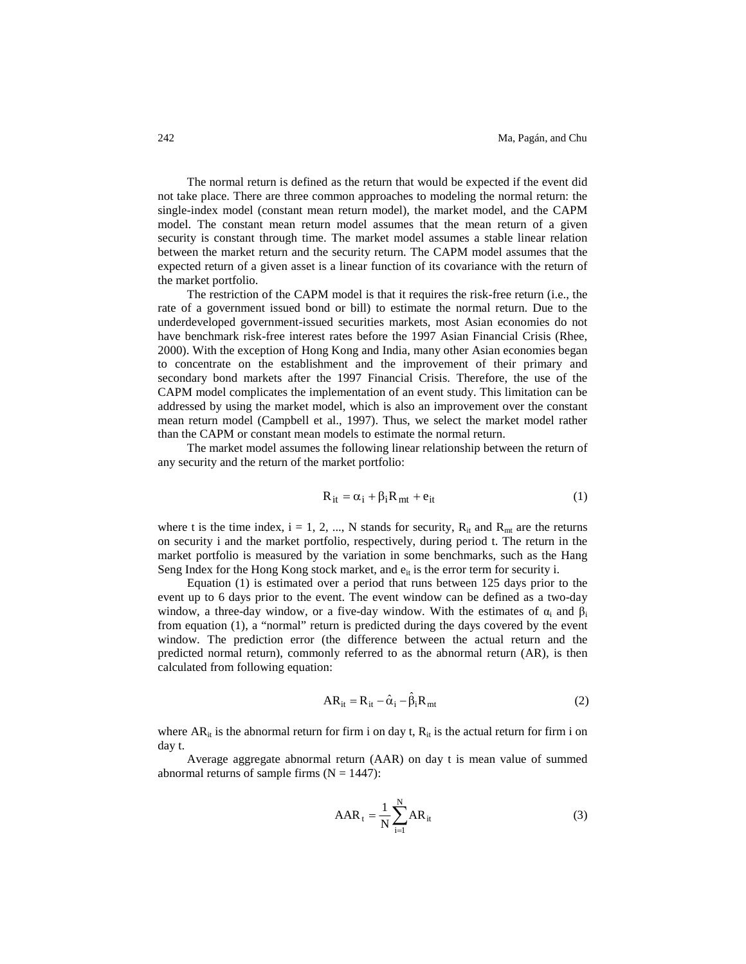The normal return is defined as the return that would be expected if the event did not take place. There are three common approaches to modeling the normal return: the single-index model (constant mean return model), the market model, and the CAPM model. The constant mean return model assumes that the mean return of a given security is constant through time. The market model assumes a stable linear relation between the market return and the security return. The CAPM model assumes that the expected return of a given asset is a linear function of its covariance with the return of the market portfolio.

The restriction of the CAPM model is that it requires the risk-free return (i.e., the rate of a government issued bond or bill) to estimate the normal return. Due to the underdeveloped government-issued securities markets, most Asian economies do not have benchmark risk-free interest rates before the 1997 Asian Financial Crisis (Rhee, 2000). With the exception of Hong Kong and India, many other Asian economies began to concentrate on the establishment and the improvement of their primary and secondary bond markets after the 1997 Financial Crisis. Therefore, the use of the CAPM model complicates the implementation of an event study. This limitation can be addressed by using the market model, which is also an improvement over the constant mean return model (Campbell et al., 1997). Thus, we select the market model rather than the CAPM or constant mean models to estimate the normal return.

The market model assumes the following linear relationship between the return of any security and the return of the market portfolio:

$$
R_{it} = \alpha_i + \beta_i R_{mt} + e_{it}
$$
 (1)

where t is the time index,  $i = 1, 2, ..., N$  stands for security,  $R_{it}$  and  $R_{mt}$  are the returns on security i and the market portfolio, respectively, during period t. The return in the market portfolio is measured by the variation in some benchmarks, such as the Hang Seng Index for the Hong Kong stock market, and  $e_{it}$  is the error term for security i.

Equation (1) is estimated over a period that runs between 125 days prior to the event up to 6 days prior to the event. The event window can be defined as a two-day window, a three-day window, or a five-day window. With the estimates of  $\alpha_i$  and  $\beta_i$ from equation (1), a "normal" return is predicted during the days covered by the event window. The prediction error (the difference between the actual return and the predicted normal return), commonly referred to as the abnormal return (AR), is then calculated from following equation:

$$
AR_{it} = R_{it} - \hat{\alpha}_i - \hat{\beta}_i R_{mt}
$$
 (2)

where  $AR_{it}$  is the abnormal return for firm i on day t,  $R_{it}$  is the actual return for firm i on day t.

Average aggregate abnormal return (AAR) on day t is mean value of summed abnormal returns of sample firms  $(N = 1447)$ :

$$
AAR_t = \frac{1}{N} \sum_{i=1}^{N} AR_{it}
$$
 (3)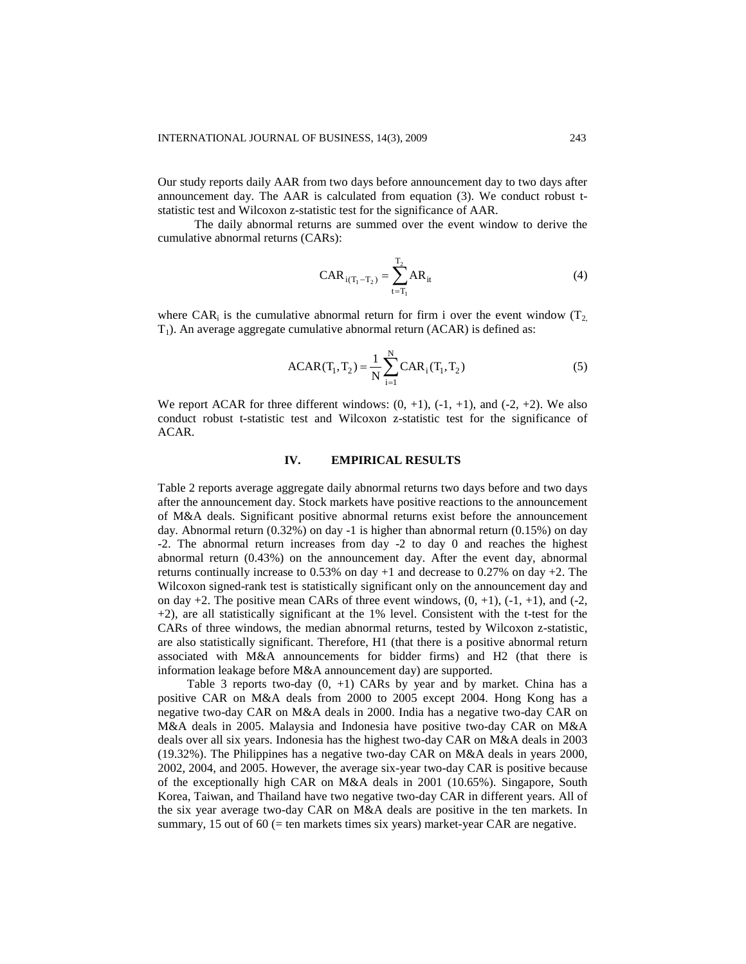Our study reports daily AAR from two days before announcement day to two days after announcement day. The AAR is calculated from equation (3). We conduct robust tstatistic test and Wilcoxon z-statistic test for the significance of AAR.

The daily abnormal returns are summed over the event window to derive the cumulative abnormal returns (CARs):

$$
CAR_{i(T_1 - T_2)} = \sum_{t = T_1}^{T_2} AR_{it}
$$
 (4)

where CAR<sub>i</sub> is the cumulative abnormal return for firm i over the event window  $(T_2)$  $T_1$ ). An average aggregate cumulative abnormal return (ACAR) is defined as:

$$
ACAR(T_1, T_2) = \frac{1}{N} \sum_{i=1}^{N} CAR_i(T_1, T_2)
$$
 (5)

We report ACAR for three different windows:  $(0, +1)$ ,  $(-1, +1)$ , and  $(-2, +2)$ . We also conduct robust t-statistic test and Wilcoxon z-statistic test for the significance of ACAR.

# **IV. EMPIRICAL RESULTS**

Table 2 reports average aggregate daily abnormal returns two days before and two days after the announcement day. Stock markets have positive reactions to the announcement of M&A deals. Significant positive abnormal returns exist before the announcement day. Abnormal return (0.32%) on day -1 is higher than abnormal return (0.15%) on day -2. The abnormal return increases from day -2 to day 0 and reaches the highest abnormal return (0.43%) on the announcement day. After the event day, abnormal returns continually increase to  $0.53\%$  on day  $+1$  and decrease to  $0.27\%$  on day  $+2$ . The Wilcoxon signed-rank test is statistically significant only on the announcement day and on day  $+2$ . The positive mean CARs of three event windows,  $(0, +1)$ ,  $(-1, +1)$ , and  $(-2, +1)$ +2), are all statistically significant at the 1% level. Consistent with the t-test for the CARs of three windows, the median abnormal returns, tested by Wilcoxon z-statistic, are also statistically significant. Therefore, H1 (that there is a positive abnormal return associated with M&A announcements for bidder firms) and H2 (that there is information leakage before M&A announcement day) are supported.

Table 3 reports two-day  $(0, +1)$  CARs by year and by market. China has a positive CAR on M&A deals from 2000 to 2005 except 2004. Hong Kong has a negative two-day CAR on M&A deals in 2000. India has a negative two-day CAR on M&A deals in 2005. Malaysia and Indonesia have positive two-day CAR on M&A deals over all six years. Indonesia has the highest two-day CAR on M&A deals in 2003 (19.32%). The Philippines has a negative two-day CAR on M&A deals in years 2000, 2002, 2004, and 2005. However, the average six-year two-day CAR is positive because of the exceptionally high CAR on M&A deals in 2001 (10.65%). Singapore, South Korea, Taiwan, and Thailand have two negative two-day CAR in different years. All of the six year average two-day CAR on M&A deals are positive in the ten markets. In summary, 15 out of 60 (= ten markets times six years) market-year CAR are negative.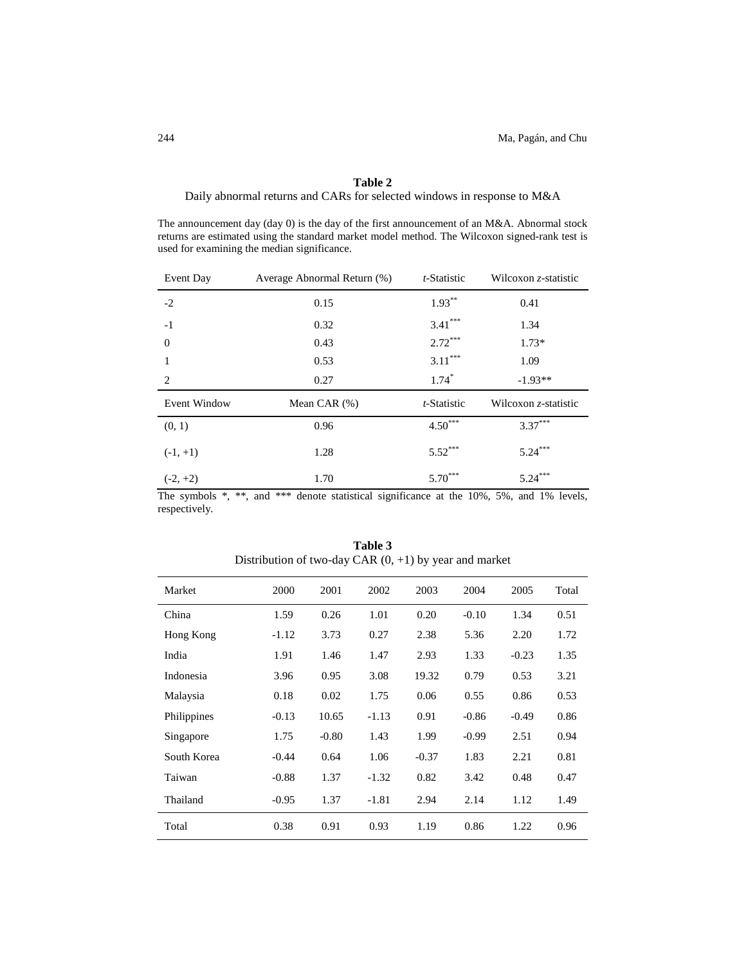# **Table 2**

Daily abnormal returns and CARs for selected windows in response to M&A

The announcement day (day 0) is the day of the first announcement of an M&A. Abnormal stock returns are estimated using the standard market model method. The Wilcoxon signed-rank test is used for examining the median significance.

| Event Day           | Average Abnormal Return (%) | t-Statistic | Wilcoxon z-statistic |  |
|---------------------|-----------------------------|-------------|----------------------|--|
| $-2$                | 0.15                        | $1.93***$   | 0.41                 |  |
| $-1$                | 0.32                        | $3.41***$   | 1.34                 |  |
| $\theta$            | 0.43                        | $2.72***$   | $1.73*$              |  |
| 1                   | 0.53                        | $3.11***$   | 1.09                 |  |
| 2                   | 0.27                        | $1.74*$     | $-1.93**$            |  |
| <b>Event Window</b> | Mean CAR $(\%)$             | t-Statistic | Wilcoxon z-statistic |  |
| (0, 1)              | 0.96                        | $4.50***$   | $3.37***$            |  |
| $(-1, +1)$          | 1.28                        | $5.52***$   | $5.24***$            |  |
| $(-2, +2)$          | 1.70                        | $5.70***$   | $5.24***$            |  |

The symbols \*, \*\*, and \*\*\* denote statistical significance at the 10%, 5%, and 1% levels, respectively.

| Market      | 2000    | 2001    | 2002    | 2003    | 2004    | 2005    | Total |
|-------------|---------|---------|---------|---------|---------|---------|-------|
| China       | 1.59    | 0.26    | 1.01    | 0.20    | $-0.10$ | 1.34    | 0.51  |
| Hong Kong   | $-1.12$ | 3.73    | 0.27    | 2.38    | 5.36    | 2.20    | 1.72  |
| India       | 1.91    | 1.46    | 1.47    | 2.93    | 1.33    | $-0.23$ | 1.35  |
| Indonesia   | 3.96    | 0.95    | 3.08    | 19.32   | 0.79    | 0.53    | 3.21  |
| Malaysia    | 0.18    | 0.02    | 1.75    | 0.06    | 0.55    | 0.86    | 0.53  |
| Philippines | $-0.13$ | 10.65   | $-1.13$ | 0.91    | $-0.86$ | $-0.49$ | 0.86  |
| Singapore   | 1.75    | $-0.80$ | 1.43    | 1.99    | $-0.99$ | 2.51    | 0.94  |
| South Korea | $-0.44$ | 0.64    | 1.06    | $-0.37$ | 1.83    | 2.21    | 0.81  |
| Taiwan      | $-0.88$ | 1.37    | $-1.32$ | 0.82    | 3.42    | 0.48    | 0.47  |
| Thailand    | $-0.95$ | 1.37    | $-1.81$ | 2.94    | 2.14    | 1.12    | 1.49  |
| Total       | 0.38    | 0.91    | 0.93    | 1.19    | 0.86    | 1.22    | 0.96  |

**Table 3** Distribution of two-day CAR (0, +1) by year and market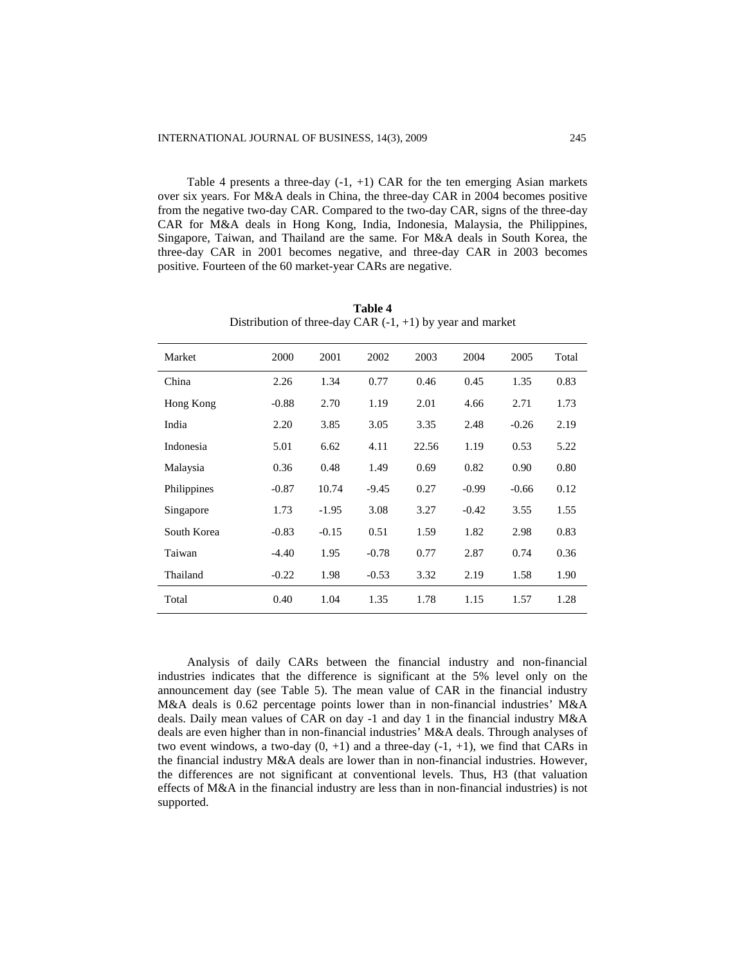Table 4 presents a three-day  $(-1, +1)$  CAR for the ten emerging Asian markets over six years. For M&A deals in China, the three-day CAR in 2004 becomes positive from the negative two-day CAR. Compared to the two-day CAR, signs of the three-day CAR for M&A deals in Hong Kong, India, Indonesia, Malaysia, the Philippines, Singapore, Taiwan, and Thailand are the same. For M&A deals in South Korea, the three-day CAR in 2001 becomes negative, and three-day CAR in 2003 becomes positive. Fourteen of the 60 market-year CARs are negative.

| Market      | 2000    | 2001    | 2002    | 2003  | 2004    | 2005    | Total |
|-------------|---------|---------|---------|-------|---------|---------|-------|
| China       | 2.26    | 1.34    | 0.77    | 0.46  | 0.45    | 1.35    | 0.83  |
| Hong Kong   | $-0.88$ | 2.70    | 1.19    | 2.01  | 4.66    | 2.71    | 1.73  |
| India       | 2.20    | 3.85    | 3.05    | 3.35  | 2.48    | $-0.26$ | 2.19  |
| Indonesia   | 5.01    | 6.62    | 4.11    | 22.56 | 1.19    | 0.53    | 5.22  |
| Malaysia    | 0.36    | 0.48    | 1.49    | 0.69  | 0.82    | 0.90    | 0.80  |
| Philippines | $-0.87$ | 10.74   | $-9.45$ | 0.27  | $-0.99$ | $-0.66$ | 0.12  |
| Singapore   | 1.73    | $-1.95$ | 3.08    | 3.27  | $-0.42$ | 3.55    | 1.55  |
| South Korea | $-0.83$ | $-0.15$ | 0.51    | 1.59  | 1.82    | 2.98    | 0.83  |
| Taiwan      | $-4.40$ | 1.95    | $-0.78$ | 0.77  | 2.87    | 0.74    | 0.36  |
| Thailand    | $-0.22$ | 1.98    | $-0.53$ | 3.32  | 2.19    | 1.58    | 1.90  |
| Total       | 0.40    | 1.04    | 1.35    | 1.78  | 1.15    | 1.57    | 1.28  |

**Table 4** Distribution of three-day CAR  $(-1, +1)$  by year and market

Analysis of daily CARs between the financial industry and non-financial industries indicates that the difference is significant at the 5% level only on the announcement day (see Table 5). The mean value of CAR in the financial industry M&A deals is 0.62 percentage points lower than in non-financial industries' M&A deals. Daily mean values of CAR on day -1 and day 1 in the financial industry M&A deals are even higher than in non-financial industries' M&A deals. Through analyses of two event windows, a two-day  $(0, +1)$  and a three-day  $(-1, +1)$ , we find that CARs in the financial industry M&A deals are lower than in non-financial industries. However, the differences are not significant at conventional levels. Thus, H3 (that valuation effects of M&A in the financial industry are less than in non-financial industries) is not supported.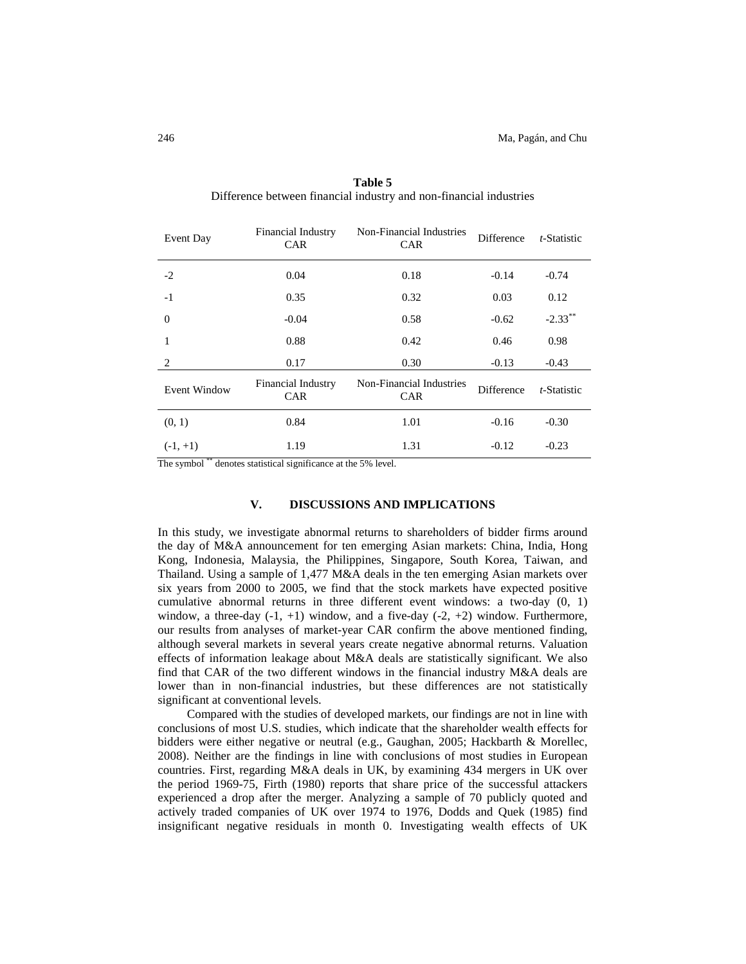| Event Day           | Financial Industry<br><b>CAR</b>        | Non-Financial Industries<br><b>CAR</b> | Difference | t-Statistic |
|---------------------|-----------------------------------------|----------------------------------------|------------|-------------|
| $-2$                | 0.04                                    | 0.18                                   | $-0.14$    | $-0.74$     |
| $-1$                | 0.35                                    | 0.32                                   | 0.03       | 0.12        |
| $\Omega$            | $-0.04$                                 | 0.58                                   | $-0.62$    | $-2.33***$  |
| 1                   | 0.88                                    | 0.42                                   | 0.46       | 0.98        |
| 2                   | 0.17                                    | 0.30                                   | $-0.13$    | $-0.43$     |
| <b>Event Window</b> | <b>Financial Industry</b><br><b>CAR</b> | Non-Financial Industries<br><b>CAR</b> | Difference | t-Statistic |
| (0, 1)              | 0.84                                    | 1.01                                   | $-0.16$    | $-0.30$     |
| $(-1, +1)$          | 1.19                                    | 1.31                                   | $-0.12$    | $-0.23$     |

**Table 5** Difference between financial industry and non-financial industries

The symbol \*\* denotes statistical significance at the 5% level.

#### **V. DISCUSSIONS AND IMPLICATIONS**

In this study, we investigate abnormal returns to shareholders of bidder firms around the day of M&A announcement for ten emerging Asian markets: China, India, Hong Kong, Indonesia, Malaysia, the Philippines, Singapore, South Korea, Taiwan, and Thailand. Using a sample of 1,477 M&A deals in the ten emerging Asian markets over six years from 2000 to 2005, we find that the stock markets have expected positive cumulative abnormal returns in three different event windows: a two-day (0, 1) window, a three-day  $(-1, +1)$  window, and a five-day  $(-2, +2)$  window. Furthermore, our results from analyses of market-year CAR confirm the above mentioned finding, although several markets in several years create negative abnormal returns. Valuation effects of information leakage about M&A deals are statistically significant. We also find that CAR of the two different windows in the financial industry M&A deals are lower than in non-financial industries, but these differences are not statistically significant at conventional levels.

Compared with the studies of developed markets, our findings are not in line with conclusions of most U.S. studies, which indicate that the shareholder wealth effects for bidders were either negative or neutral (e.g., Gaughan, 2005; Hackbarth & Morellec, 2008). Neither are the findings in line with conclusions of most studies in European countries. First, regarding M&A deals in UK, by examining 434 mergers in UK over the period 1969-75, Firth (1980) reports that share price of the successful attackers experienced a drop after the merger. Analyzing a sample of 70 publicly quoted and actively traded companies of UK over 1974 to 1976, Dodds and Quek (1985) find insignificant negative residuals in month 0. Investigating wealth effects of UK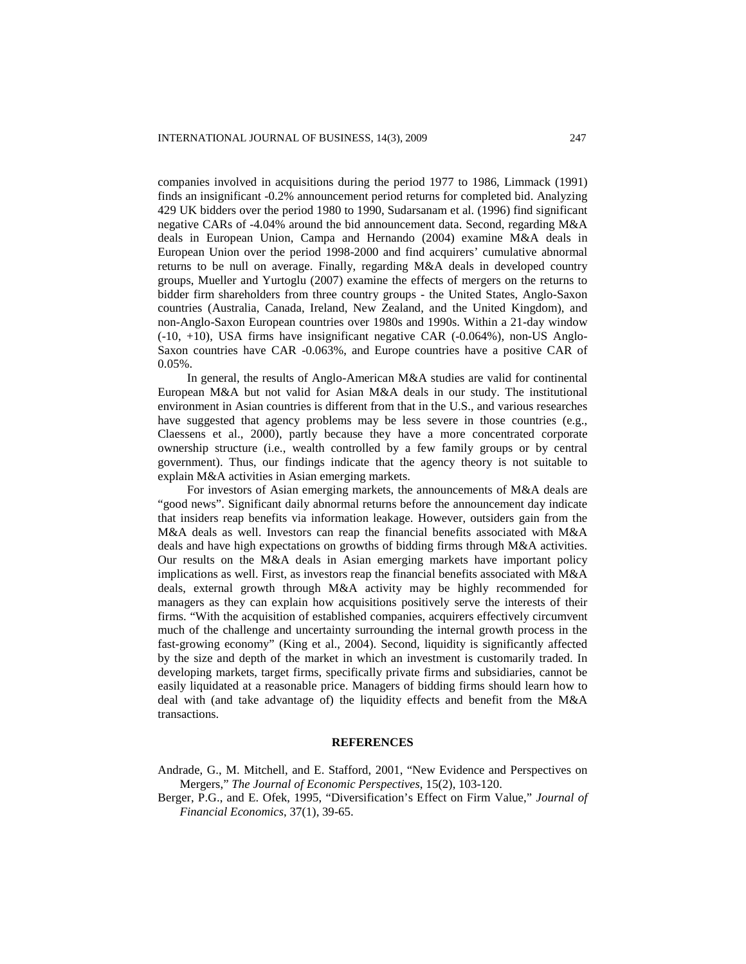companies involved in acquisitions during the period 1977 to 1986, Limmack (1991) finds an insignificant -0.2% announcement period returns for completed bid. Analyzing 429 UK bidders over the period 1980 to 1990, Sudarsanam et al. (1996) find significant negative CARs of -4.04% around the bid announcement data. Second, regarding M&A deals in European Union, Campa and Hernando (2004) examine M&A deals in European Union over the period 1998-2000 and find acquirers' cumulative abnormal returns to be null on average. Finally, regarding M&A deals in developed country groups, Mueller and Yurtoglu (2007) examine the effects of mergers on the returns to bidder firm shareholders from three country groups - the United States, Anglo-Saxon countries (Australia, Canada, Ireland, New Zealand, and the United Kingdom), and non-Anglo-Saxon European countries over 1980s and 1990s. Within a 21-day window (-10, +10), USA firms have insignificant negative CAR (-0.064%), non-US Anglo-Saxon countries have CAR -0.063%, and Europe countries have a positive CAR of 0.05%.

In general, the results of Anglo-American M&A studies are valid for continental European M&A but not valid for Asian M&A deals in our study. The institutional environment in Asian countries is different from that in the U.S., and various researches have suggested that agency problems may be less severe in those countries (e.g., Claessens et al., 2000), partly because they have a more concentrated corporate ownership structure (i.e., wealth controlled by a few family groups or by central government). Thus, our findings indicate that the agency theory is not suitable to explain M&A activities in Asian emerging markets.

For investors of Asian emerging markets, the announcements of M&A deals are "good news". Significant daily abnormal returns before the announcement day indicate that insiders reap benefits via information leakage. However, outsiders gain from the M&A deals as well. Investors can reap the financial benefits associated with M&A deals and have high expectations on growths of bidding firms through M&A activities. Our results on the M&A deals in Asian emerging markets have important policy implications as well. First, as investors reap the financial benefits associated with M&A deals, external growth through M&A activity may be highly recommended for managers as they can explain how acquisitions positively serve the interests of their firms. "With the acquisition of established companies, acquirers effectively circumvent much of the challenge and uncertainty surrounding the internal growth process in the fast-growing economy" (King et al., 2004). Second, liquidity is significantly affected by the size and depth of the market in which an investment is customarily traded. In developing markets, target firms, specifically private firms and subsidiaries, cannot be easily liquidated at a reasonable price. Managers of bidding firms should learn how to deal with (and take advantage of) the liquidity effects and benefit from the M&A transactions.

# **REFERENCES**

- Andrade, G., M. Mitchell, and E. Stafford, 2001, "New Evidence and Perspectives on Mergers," *The Journal of Economic Perspectives*, 15(2), 103-120.
- Berger, P.G., and E. Ofek, 1995, "Diversification's Effect on Firm Value," *Journal of Financial Economics*, 37(1), 39-65.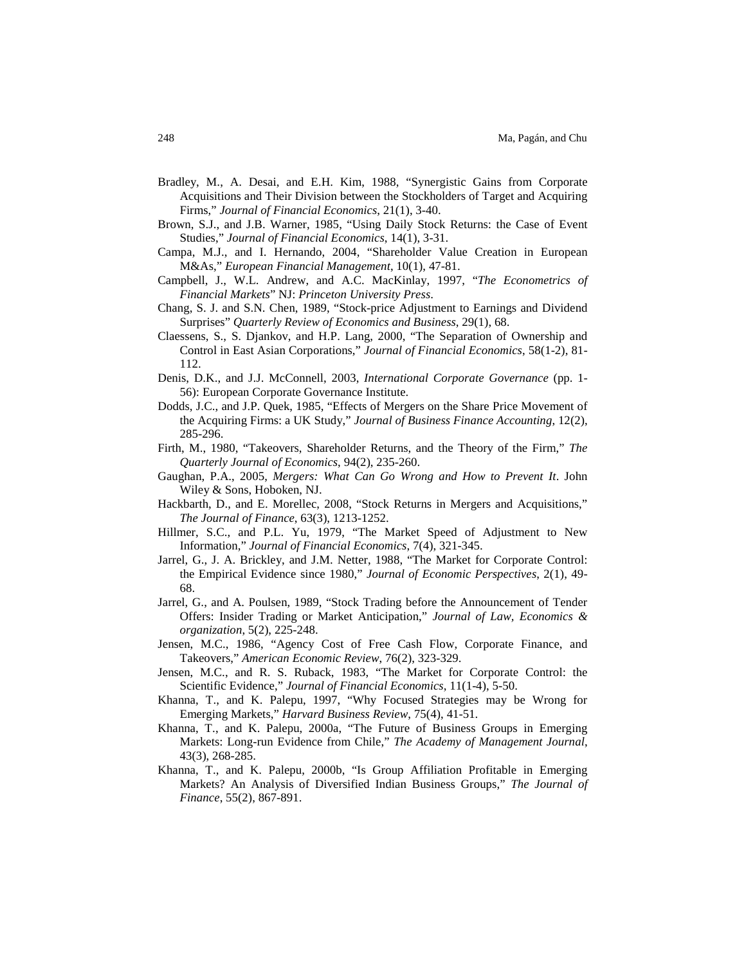- Bradley, M., A. Desai, and E.H. Kim, 1988, "Synergistic Gains from Corporate Acquisitions and Their Division between the Stockholders of Target and Acquiring Firms," *Journal of Financial Economics*, 21(1), 3-40.
- Brown, S.J., and J.B. Warner, 1985, "Using Daily Stock Returns: the Case of Event Studies," *Journal of Financial Economics*, 14(1), 3-31.
- Campa, M.J., and I. Hernando, 2004, "Shareholder Value Creation in European M&As," *European Financial Management*, 10(1), 47-81.
- Campbell, J., W.L. Andrew, and A.C. MacKinlay, 1997, "*The Econometrics of Financial Markets*" NJ: *Princeton University Press*.
- Chang, S. J. and S.N. Chen, 1989, "Stock-price Adjustment to Earnings and Dividend Surprises" *Quarterly Review of Economics and Business*, 29(1), 68.
- Claessens, S., S. Djankov, and H.P. Lang, 2000, "The Separation of Ownership and Control in East Asian Corporations," *Journal of Financial Economics*, 58(1-2), 81- 112.
- Denis, D.K., and J.J. McConnell, 2003, *International Corporate Governance* (pp. 1- 56): European Corporate Governance Institute.
- Dodds, J.C., and J.P. Quek, 1985, "Effects of Mergers on the Share Price Movement of the Acquiring Firms: a UK Study," *Journal of Business Finance Accounting*, 12(2), 285-296.
- Firth, M., 1980, "Takeovers, Shareholder Returns, and the Theory of the Firm," *The Quarterly Journal of Economics*, 94(2), 235-260.
- Gaughan, P.A., 2005, *Mergers: What Can Go Wrong and How to Prevent It*. John Wiley & Sons, Hoboken, NJ.
- Hackbarth, D., and E. Morellec, 2008, "Stock Returns in Mergers and Acquisitions," *The Journal of Finance*, 63(3), 1213-1252.
- Hillmer, S.C., and P.L. Yu, 1979, "The Market Speed of Adjustment to New Information," *Journal of Financial Economics*, 7(4), 321-345.
- Jarrel, G., J. A. Brickley, and J.M. Netter, 1988, "The Market for Corporate Control: the Empirical Evidence since 1980," *Journal of Economic Perspectives*, 2(1), 49- 68.
- Jarrel, G., and A. Poulsen, 1989, "Stock Trading before the Announcement of Tender Offers: Insider Trading or Market Anticipation," *Journal of Law, Economics & organization*, 5(2), 225-248.
- Jensen, M.C., 1986, "Agency Cost of Free Cash Flow, Corporate Finance, and Takeovers," *American Economic Review*, 76(2), 323-329.
- Jensen, M.C., and R. S. Ruback, 1983, "The Market for Corporate Control: the Scientific Evidence," *Journal of Financial Economics*, 11(1-4), 5-50.
- Khanna, T., and K. Palepu, 1997, "Why Focused Strategies may be Wrong for Emerging Markets," *Harvard Business Review*, 75(4), 41-51.
- Khanna, T., and K. Palepu, 2000a, "The Future of Business Groups in Emerging Markets: Long-run Evidence from Chile," *The Academy of Management Journal*, 43(3), 268-285.
- Khanna, T., and K. Palepu, 2000b, "Is Group Affiliation Profitable in Emerging Markets? An Analysis of Diversified Indian Business Groups," *The Journal of Finance*, 55(2), 867-891.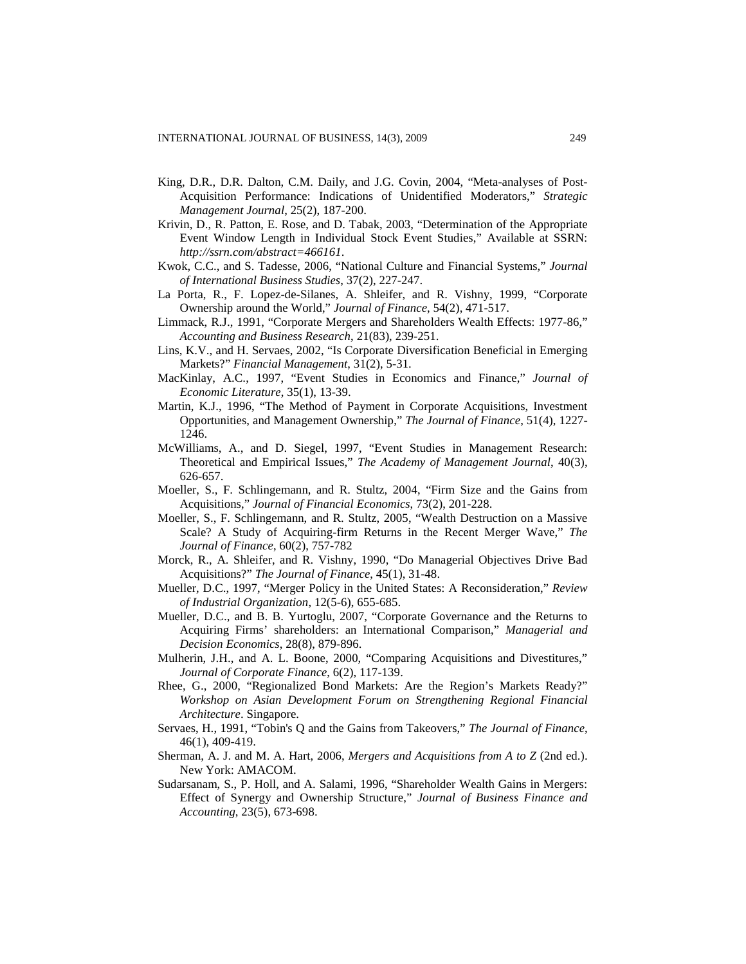- King, D.R., D.R. Dalton, C.M. Daily, and J.G. Covin, 2004, "Meta-analyses of Post-Acquisition Performance: Indications of Unidentified Moderators," *Strategic Management Journal*, 25(2), 187-200.
- Krivin, D., R. Patton, E. Rose, and D. Tabak, 2003, "Determination of the Appropriate Event Window Length in Individual Stock Event Studies," Available at SSRN: *<http://ssrn.com/abstract=466161>*.
- Kwok, C.C., and S. Tadesse, 2006, "National Culture and Financial Systems," *Journal of International Business Studies*, 37(2), 227-247.
- La Porta, R., F. Lopez-de-Silanes, A. Shleifer, and R. Vishny, 1999, "Corporate Ownership around the World," *Journal of Finance*, 54(2), 471-517.
- Limmack, R.J., 1991, "Corporate Mergers and Shareholders Wealth Effects: 1977-86," *Accounting and Business Research*, 21(83), 239-251.
- Lins, K.V., and H. Servaes, 2002, "Is Corporate Diversification Beneficial in Emerging Markets?" *Financial Management*, 31(2), 5-31.
- MacKinlay, A.C., 1997, "Event Studies in Economics and Finance," *Journal of Economic Literature*, 35(1), 13-39.
- Martin, K.J., 1996, "The Method of Payment in Corporate Acquisitions, Investment Opportunities, and Management Ownership," *The Journal of Finance*, 51(4), 1227- 1246.
- McWilliams, A., and D. Siegel, 1997, "Event Studies in Management Research: Theoretical and Empirical Issues," *The Academy of Management Journal*, 40(3), 626-657.
- Moeller, S., F. Schlingemann, and R. Stultz, 2004, "Firm Size and the Gains from Acquisitions," *Journal of Financial Economics*, 73(2), 201-228.
- Moeller, S., F. Schlingemann, and R. Stultz, 2005, "Wealth Destruction on a Massive Scale? A Study of Acquiring-firm Returns in the Recent Merger Wave," *The Journal of Finance*, 60(2), 757-782
- Morck, R., A. Shleifer, and R. Vishny, 1990, "Do Managerial Objectives Drive Bad Acquisitions?" *The Journal of Finance*, 45(1), 31-48.
- Mueller, D.C., 1997, "Merger Policy in the United States: A Reconsideration," *Review of Industrial Organization*, 12(5-6), 655-685.
- Mueller, D.C., and B. B. Yurtoglu, 2007, "Corporate Governance and the Returns to Acquiring Firms' shareholders: an International Comparison," *Managerial and Decision Economics*, 28(8), 879-896.
- Mulherin, J.H., and A. L. Boone, 2000, "Comparing Acquisitions and Divestitures," *Journal of Corporate Finance*, 6(2), 117-139.
- Rhee, G., 2000, "Regionalized Bond Markets: Are the Region's Markets Ready?" *Workshop on Asian Development Forum on Strengthening Regional Financial Architecture*. Singapore.
- Servaes, H., 1991, "Tobin's Q and the Gains from Takeovers," *The Journal of Finance*, 46(1), 409-419.
- Sherman, A. J. and M. A. Hart, 2006, *Mergers and Acquisitions from A to Z* (2nd ed.). New York: AMACOM.
- Sudarsanam, S., P. Holl, and A. Salami, 1996, "Shareholder Wealth Gains in Mergers: Effect of Synergy and Ownership Structure," *Journal of Business Finance and Accounting*, 23(5), 673-698.